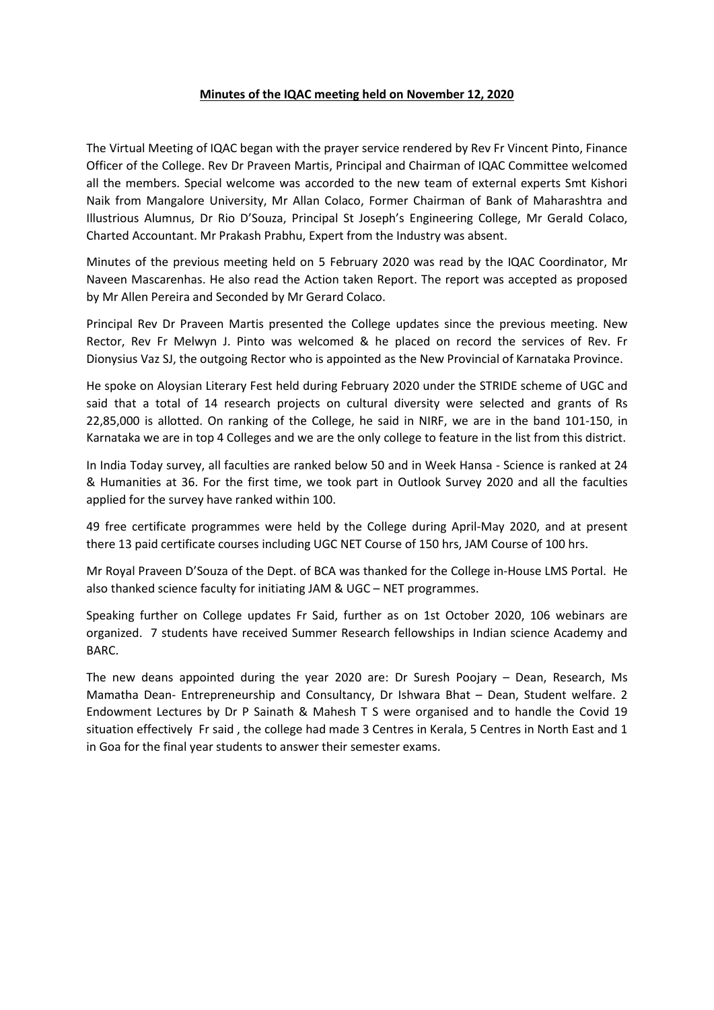## **Minutes of the IQAC meeting held on November 12, 2020**

The Virtual Meeting of IQAC began with the prayer service rendered by Rev Fr Vincent Pinto, Finance Officer of the College. Rev Dr Praveen Martis, Principal and Chairman of IQAC Committee welcomed all the members. Special welcome was accorded to the new team of external experts Smt Kishori Naik from Mangalore University, Mr Allan Colaco, Former Chairman of Bank of Maharashtra and Illustrious Alumnus, Dr Rio D'Souza, Principal St Joseph's Engineering College, Mr Gerald Colaco, Charted Accountant. Mr Prakash Prabhu, Expert from the Industry was absent.

Minutes of the previous meeting held on 5 February 2020 was read by the IQAC Coordinator, Mr Naveen Mascarenhas. He also read the Action taken Report. The report was accepted as proposed by Mr Allen Pereira and Seconded by Mr Gerard Colaco.

Principal Rev Dr Praveen Martis presented the College updates since the previous meeting. New Rector, Rev Fr Melwyn J. Pinto was welcomed & he placed on record the services of Rev. Fr Dionysius Vaz SJ, the outgoing Rector who is appointed as the New Provincial of Karnataka Province.

He spoke on Aloysian Literary Fest held during February 2020 under the STRIDE scheme of UGC and said that a total of 14 research projects on cultural diversity were selected and grants of Rs 22,85,000 is allotted. On ranking of the College, he said in NIRF, we are in the band 101-150, in Karnataka we are in top 4 Colleges and we are the only college to feature in the list from this district.

In India Today survey, all faculties are ranked below 50 and in Week Hansa - Science is ranked at 24 & Humanities at 36. For the first time, we took part in Outlook Survey 2020 and all the faculties applied for the survey have ranked within 100.

49 free certificate programmes were held by the College during April-May 2020, and at present there 13 paid certificate courses including UGC NET Course of 150 hrs, JAM Course of 100 hrs.

Mr Royal Praveen D'Souza of the Dept. of BCA was thanked for the College in-House LMS Portal. He also thanked science faculty for initiating JAM & UGC – NET programmes.

Speaking further on College updates Fr Said, further as on 1st October 2020, 106 webinars are organized. 7 students have received Summer Research fellowships in Indian science Academy and BARC.

The new deans appointed during the year 2020 are: Dr Suresh Poojary – Dean, Research, Ms Mamatha Dean- Entrepreneurship and Consultancy, Dr Ishwara Bhat – Dean, Student welfare. 2 Endowment Lectures by Dr P Sainath & Mahesh T S were organised and to handle the Covid 19 situation effectively Fr said , the college had made 3 Centres in Kerala, 5 Centres in North East and 1 in Goa for the final year students to answer their semester exams.